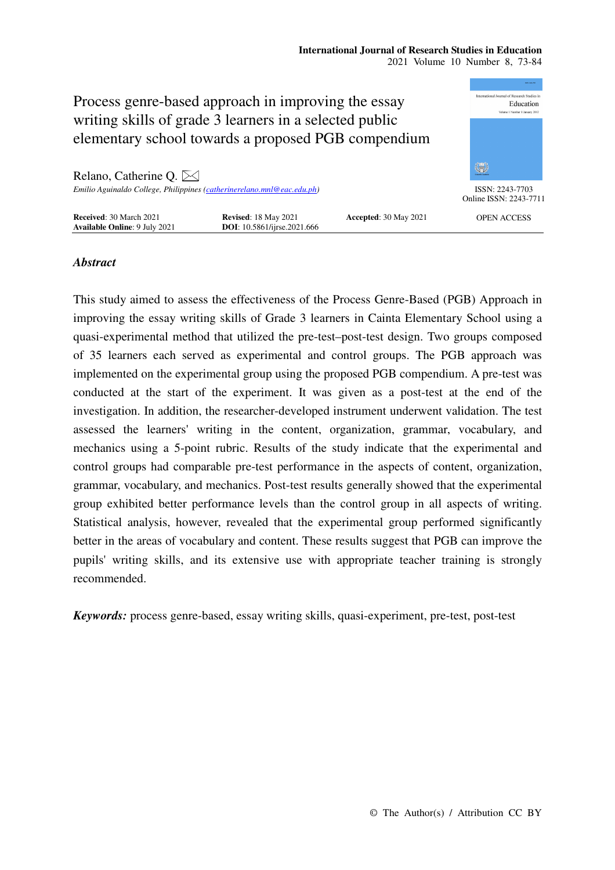#### **International Journal of Research Studies in Education**  2021 Volume 10 Number 8, 73-84



# *Abstract*

This study aimed to assess the effectiveness of the Process Genre-Based (PGB) Approach in improving the essay writing skills of Grade 3 learners in Cainta Elementary School using a quasi-experimental method that utilized the pre-test–post-test design. Two groups composed of 35 learners each served as experimental and control groups. The PGB approach was implemented on the experimental group using the proposed PGB compendium. A pre-test was conducted at the start of the experiment. It was given as a post-test at the end of the investigation. In addition, the researcher-developed instrument underwent validation. The test assessed the learners' writing in the content, organization, grammar, vocabulary, and mechanics using a 5-point rubric. Results of the study indicate that the experimental and control groups had comparable pre-test performance in the aspects of content, organization, grammar, vocabulary, and mechanics. Post-test results generally showed that the experimental group exhibited better performance levels than the control group in all aspects of writing. Statistical analysis, however, revealed that the experimental group performed significantly better in the areas of vocabulary and content. These results suggest that PGB can improve the pupils' writing skills, and its extensive use with appropriate teacher training is strongly recommended.

*Keywords:* process genre-based, essay writing skills, quasi-experiment, pre-test, post-test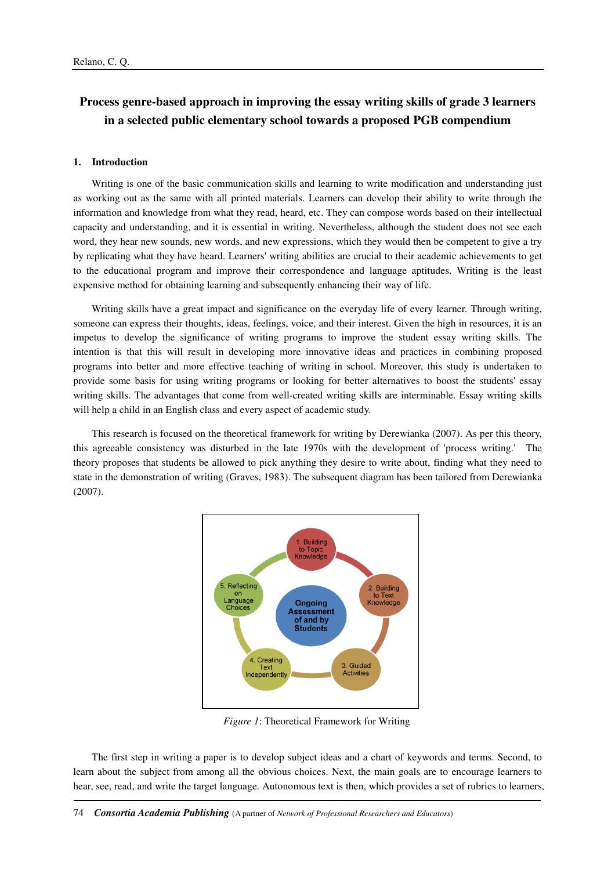# **Process genre-based approach in improving the essay writing skills of grade 3 learners in a selected public elementary school towards a proposed PGB compendium**

#### **1. Introduction**

Writing is one of the basic communication skills and learning to write modification and understanding just as working out as the same with all printed materials. Learners can develop their ability to write through the information and knowledge from what they read, heard, etc. They can compose words based on their intellectual capacity and understanding, and it is essential in writing. Nevertheless, although the student does not see each word, they hear new sounds, new words, and new expressions, which they would then be competent to give a try by replicating what they have heard. Learners' writing abilities are crucial to their academic achievements to get to the educational program and improve their correspondence and language aptitudes. Writing is the least expensive method for obtaining learning and subsequently enhancing their way of life.

Writing skills have a great impact and significance on the everyday life of every learner. Through writing, someone can express their thoughts, ideas, feelings, voice, and their interest. Given the high in resources, it is an impetus to develop the significance of writing programs to improve the student essay writing skills. The intention is that this will result in developing more innovative ideas and practices in combining proposed programs into better and more effective teaching of writing in school. Moreover, this study is undertaken to provide some basis for using writing programs or looking for better alternatives to boost the students' essay writing skills. The advantages that come from well-created writing skills are interminable. Essay writing skills will help a child in an English class and every aspect of academic study.

This research is focused on the theoretical framework for writing by Derewianka (2007). As per this theory, this agreeable consistency was disturbed in the late 1970s with the development of 'process writing.' The theory proposes that students be allowed to pick anything they desire to write about, finding what they need to state in the demonstration of writing (Graves, 1983). The subsequent diagram has been tailored from Derewianka (2007).



*Figure 1*: Theoretical Framework for Writing

The first step in writing a paper is to develop subject ideas and a chart of keywords and terms. Second, to learn about the subject from among all the obvious choices. Next, the main goals are to encourage learners to hear, see, read, and write the target language. Autonomous text is then, which provides a set of rubrics to learners,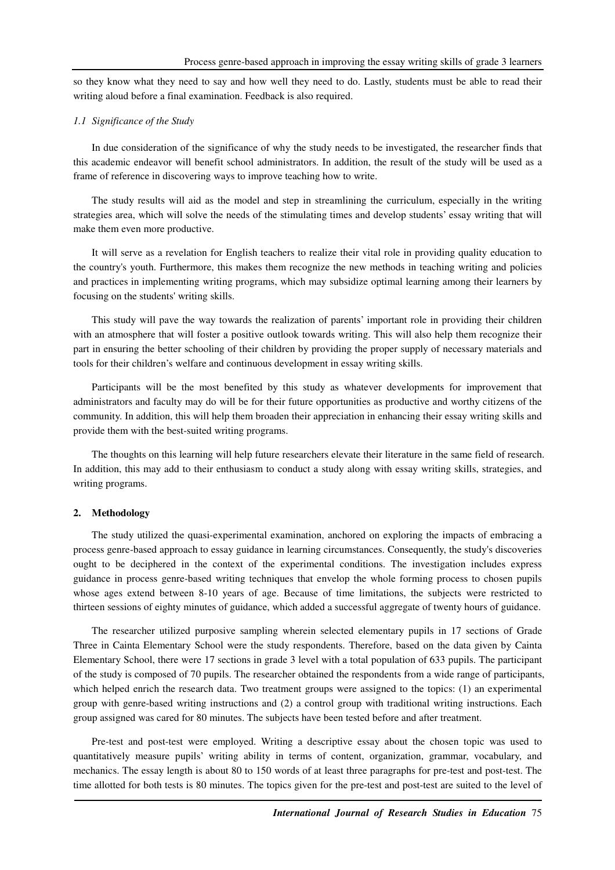so they know what they need to say and how well they need to do. Lastly, students must be able to read their writing aloud before a final examination. Feedback is also required.

### *1.1 Significance of the Study*

In due consideration of the significance of why the study needs to be investigated, the researcher finds that this academic endeavor will benefit school administrators. In addition, the result of the study will be used as a frame of reference in discovering ways to improve teaching how to write.

The study results will aid as the model and step in streamlining the curriculum, especially in the writing strategies area, which will solve the needs of the stimulating times and develop students' essay writing that will make them even more productive.

It will serve as a revelation for English teachers to realize their vital role in providing quality education to the country's youth. Furthermore, this makes them recognize the new methods in teaching writing and policies and practices in implementing writing programs, which may subsidize optimal learning among their learners by focusing on the students' writing skills.

This study will pave the way towards the realization of parents' important role in providing their children with an atmosphere that will foster a positive outlook towards writing. This will also help them recognize their part in ensuring the better schooling of their children by providing the proper supply of necessary materials and tools for their children's welfare and continuous development in essay writing skills.

Participants will be the most benefited by this study as whatever developments for improvement that administrators and faculty may do will be for their future opportunities as productive and worthy citizens of the community. In addition, this will help them broaden their appreciation in enhancing their essay writing skills and provide them with the best-suited writing programs.

The thoughts on this learning will help future researchers elevate their literature in the same field of research. In addition, this may add to their enthusiasm to conduct a study along with essay writing skills, strategies, and writing programs.

### **2. Methodology**

The study utilized the quasi-experimental examination, anchored on exploring the impacts of embracing a process genre-based approach to essay guidance in learning circumstances. Consequently, the study's discoveries ought to be deciphered in the context of the experimental conditions. The investigation includes express guidance in process genre-based writing techniques that envelop the whole forming process to chosen pupils whose ages extend between 8-10 years of age. Because of time limitations, the subjects were restricted to thirteen sessions of eighty minutes of guidance, which added a successful aggregate of twenty hours of guidance.

The researcher utilized purposive sampling wherein selected elementary pupils in 17 sections of Grade Three in Cainta Elementary School were the study respondents. Therefore, based on the data given by Cainta Elementary School, there were 17 sections in grade 3 level with a total population of 633 pupils. The participant of the study is composed of 70 pupils. The researcher obtained the respondents from a wide range of participants, which helped enrich the research data. Two treatment groups were assigned to the topics: (1) an experimental group with genre-based writing instructions and (2) a control group with traditional writing instructions. Each group assigned was cared for 80 minutes. The subjects have been tested before and after treatment.

Pre-test and post-test were employed. Writing a descriptive essay about the chosen topic was used to quantitatively measure pupils' writing ability in terms of content, organization, grammar, vocabulary, and mechanics. The essay length is about 80 to 150 words of at least three paragraphs for pre-test and post-test. The time allotted for both tests is 80 minutes. The topics given for the pre-test and post-test are suited to the level of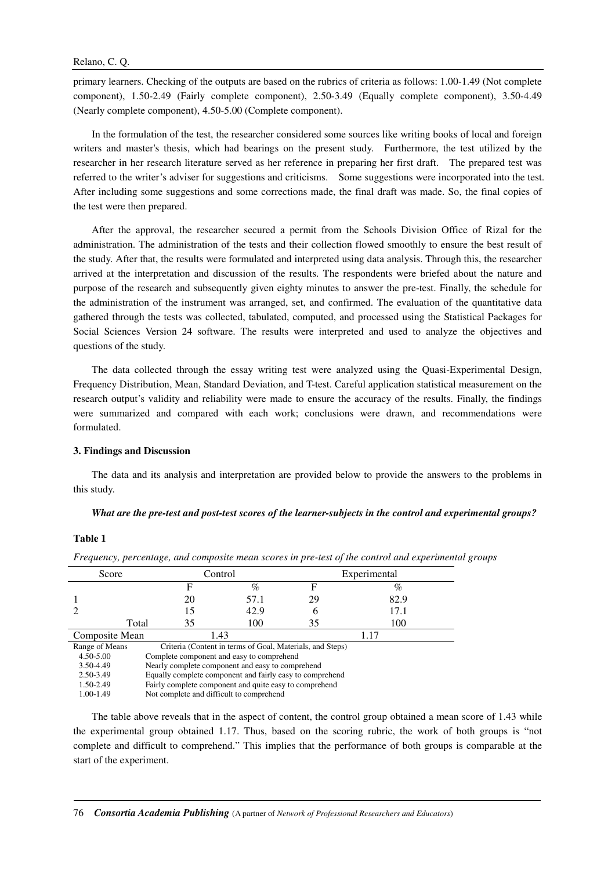primary learners. Checking of the outputs are based on the rubrics of criteria as follows: 1.00-1.49 (Not complete component), 1.50-2.49 (Fairly complete component), 2.50-3.49 (Equally complete component), 3.50-4.49 (Nearly complete component), 4.50-5.00 (Complete component).

In the formulation of the test, the researcher considered some sources like writing books of local and foreign writers and master's thesis, which had bearings on the present study. Furthermore, the test utilized by the researcher in her research literature served as her reference in preparing her first draft. The prepared test was referred to the writer's adviser for suggestions and criticisms. Some suggestions were incorporated into the test. After including some suggestions and some corrections made, the final draft was made. So, the final copies of the test were then prepared.

After the approval, the researcher secured a permit from the Schools Division Office of Rizal for the administration. The administration of the tests and their collection flowed smoothly to ensure the best result of the study. After that, the results were formulated and interpreted using data analysis. Through this, the researcher arrived at the interpretation and discussion of the results. The respondents were briefed about the nature and purpose of the research and subsequently given eighty minutes to answer the pre-test. Finally, the schedule for the administration of the instrument was arranged, set, and confirmed. The evaluation of the quantitative data gathered through the tests was collected, tabulated, computed, and processed using the Statistical Packages for Social Sciences Version 24 software. The results were interpreted and used to analyze the objectives and questions of the study.

The data collected through the essay writing test were analyzed using the Quasi-Experimental Design, Frequency Distribution, Mean, Standard Deviation, and T-test. Careful application statistical measurement on the research output's validity and reliability were made to ensure the accuracy of the results. Finally, the findings were summarized and compared with each work; conclusions were drawn, and recommendations were formulated.

### **3. Findings and Discussion**

The data and its analysis and interpretation are provided below to provide the answers to the problems in this study.

#### *What are the pre-test and post-test scores of the learner-subjects in the control and experimental groups?*

# **Table 1**

| Score          | Control                                                  |                                                        | Experimental                                              |    |      |  |  |
|----------------|----------------------------------------------------------|--------------------------------------------------------|-----------------------------------------------------------|----|------|--|--|
|                |                                                          | F                                                      | %                                                         | F  | %    |  |  |
|                |                                                          | 20                                                     | 57.1                                                      | 29 | 82.9 |  |  |
|                |                                                          | 15                                                     | 42.9                                                      | h  | 17.1 |  |  |
|                | Total                                                    | 35                                                     | 100                                                       | 35 | 100  |  |  |
| Composite Mean |                                                          |                                                        | 1.43                                                      |    | 1.17 |  |  |
| Range of Means |                                                          |                                                        | Criteria (Content in terms of Goal, Materials, and Steps) |    |      |  |  |
| 4.50-5.00      |                                                          |                                                        | Complete component and easy to comprehend                 |    |      |  |  |
| 3.50-4.49      |                                                          | Nearly complete component and easy to comprehend       |                                                           |    |      |  |  |
| 2.50-3.49      | Equally complete component and fairly easy to comprehend |                                                        |                                                           |    |      |  |  |
| 1.50-2.49      |                                                          | Fairly complete component and quite easy to comprehend |                                                           |    |      |  |  |
| 1.00-1.49      |                                                          |                                                        | Not complete and difficult to comprehend                  |    |      |  |  |

*Frequency, percentage, and composite mean scores in pre-test of the control and experimental groups* 

The table above reveals that in the aspect of content, the control group obtained a mean score of 1.43 while the experimental group obtained 1.17. Thus, based on the scoring rubric, the work of both groups is "not complete and difficult to comprehend." This implies that the performance of both groups is comparable at the start of the experiment.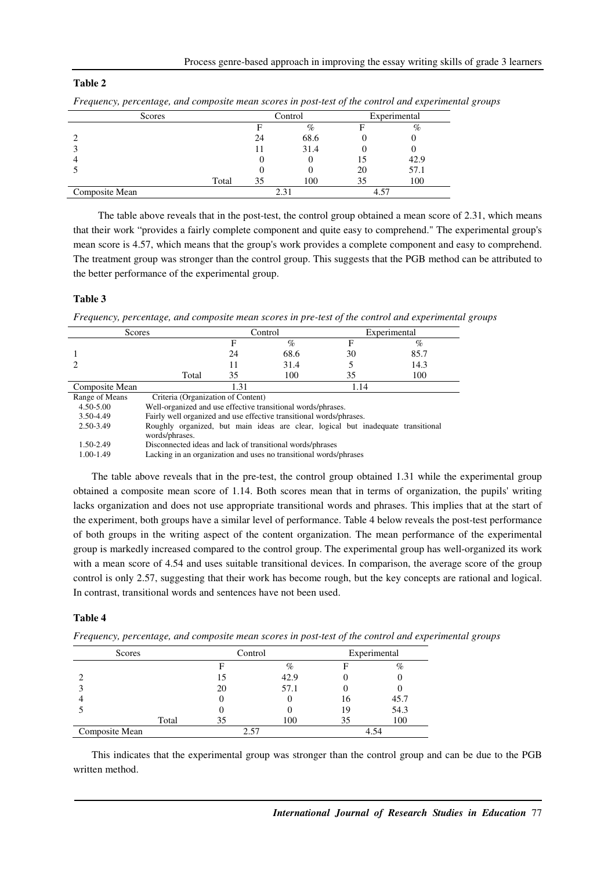# **Table 2**

| Scores         |       |    | Control | Experimental |      |
|----------------|-------|----|---------|--------------|------|
|                |       |    | %       |              | $\%$ |
|                |       | 24 | 68.6    |              |      |
|                |       |    | 31.4    |              |      |
| 4              |       |    |         |              | 42.9 |
|                |       |    |         | 20           | 57.1 |
|                | Total | 35 | 100     | 35           | 100  |
| Composite Mean |       |    |         | 4.57         |      |

*Frequency, percentage, and composite mean scores in post-test of the control and experimental groups* 

 The table above reveals that in the post-test, the control group obtained a mean score of 2.31, which means that their work "provides a fairly complete component and quite easy to comprehend." The experimental group's mean score is 4.57, which means that the group's work provides a complete component and easy to comprehend. The treatment group was stronger than the control group. This suggests that the PGB method can be attributed to the better performance of the experimental group.

### **Table 3**

*Frequency, percentage, and composite mean scores in pre-test of the control and experimental groups* 

| Scores         |                                                                                                    | Control |      | Experimental |      |
|----------------|----------------------------------------------------------------------------------------------------|---------|------|--------------|------|
|                |                                                                                                    | F       | $\%$ | F            | $\%$ |
|                |                                                                                                    | 24      | 68.6 | 30           | 85.7 |
|                |                                                                                                    | 11      | 31.4 | 5            | 14.3 |
|                | Total                                                                                              | 35      | 100  | 35           | 100  |
| Composite Mean |                                                                                                    | 1.31    |      | 1.14         |      |
| Range of Means | Criteria (Organization of Content)                                                                 |         |      |              |      |
| 4.50-5.00      | Well-organized and use effective transitional words/phrases.                                       |         |      |              |      |
| 3.50-4.49      | Fairly well organized and use effective transitional words/phrases.                                |         |      |              |      |
| 2.50-3.49      | Roughly organized, but main ideas are clear, logical but inadequate transitional<br>words/phrases. |         |      |              |      |
| 1.50-2.49      | Disconnected ideas and lack of transitional words/phrases                                          |         |      |              |      |

1.00-1.49 Lacking in an organization and uses no transitional words/phrases

The table above reveals that in the pre-test, the control group obtained 1.31 while the experimental group obtained a composite mean score of 1.14. Both scores mean that in terms of organization, the pupils' writing lacks organization and does not use appropriate transitional words and phrases. This implies that at the start of the experiment, both groups have a similar level of performance. Table 4 below reveals the post-test performance of both groups in the writing aspect of the content organization. The mean performance of the experimental group is markedly increased compared to the control group. The experimental group has well-organized its work with a mean score of 4.54 and uses suitable transitional devices. In comparison, the average score of the group control is only 2.57, suggesting that their work has become rough, but the key concepts are rational and logical. In contrast, transitional words and sentences have not been used.

# **Table 4**

Scores Control Experimental F  $\%$  F  $\%$ 2 15 42.9 0 0 3 20 57.1 0 0 4 0 0 16 45.7 5 0 0 19 54.3 Total 35 100 35 100 Composite Mean 2.57 4.54

*Frequency, percentage, and composite mean scores in post-test of the control and experimental groups* 

This indicates that the experimental group was stronger than the control group and can be due to the PGB written method.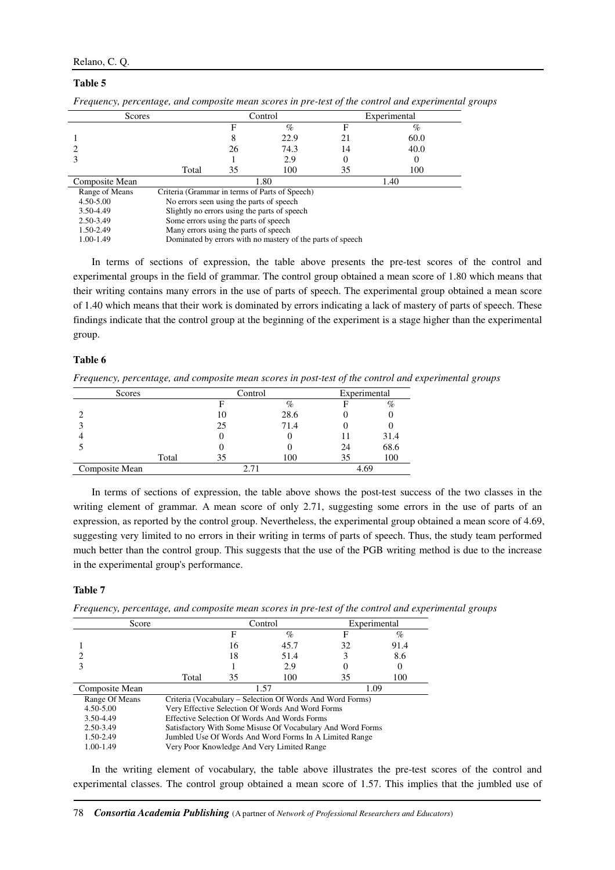# Relano, C. Q.

### **Table 5**

| Scores         |                                                |                                              | Control                                                    |    | Experimental |  |  |
|----------------|------------------------------------------------|----------------------------------------------|------------------------------------------------------------|----|--------------|--|--|
|                |                                                | F                                            | %                                                          | F  | $\%$         |  |  |
|                |                                                | 8                                            | 22.9                                                       | 21 | 60.0         |  |  |
|                |                                                | 26                                           | 74.3                                                       | 14 | 40.0         |  |  |
|                |                                                |                                              | 2.9                                                        |    |              |  |  |
|                | Total                                          | 35                                           | 100                                                        | 35 | 100          |  |  |
| Composite Mean |                                                | 1.80<br>1.40                                 |                                                            |    |              |  |  |
| Range of Means | Criteria (Grammar in terms of Parts of Speech) |                                              |                                                            |    |              |  |  |
| $4.50 - 5.00$  |                                                | No errors seen using the parts of speech     |                                                            |    |              |  |  |
| 3.50-4.49      |                                                | Slightly no errors using the parts of speech |                                                            |    |              |  |  |
| 2.50-3.49      | Some errors using the parts of speech          |                                              |                                                            |    |              |  |  |
| 1.50-2.49      | Many errors using the parts of speech          |                                              |                                                            |    |              |  |  |
| 1.00-1.49      |                                                |                                              | Dominated by errors with no mastery of the parts of speech |    |              |  |  |
|                |                                                |                                              |                                                            |    |              |  |  |

*Frequency, percentage, and composite mean scores in pre-test of the control and experimental groups* 

In terms of sections of expression, the table above presents the pre-test scores of the control and experimental groups in the field of grammar. The control group obtained a mean score of 1.80 which means that their writing contains many errors in the use of parts of speech. The experimental group obtained a mean score of 1.40 which means that their work is dominated by errors indicating a lack of mastery of parts of speech. These findings indicate that the control group at the beginning of the experiment is a stage higher than the experimental group.

# **Table 6**

*Frequency, percentage, and composite mean scores in post-test of the control and experimental groups* 

| Scores         |       | Control |      |      | Experimental |  |
|----------------|-------|---------|------|------|--------------|--|
|                |       |         | $\%$ |      | %            |  |
|                |       | 10      | 28.6 |      |              |  |
|                |       | 25      | 71.4 |      |              |  |
|                |       |         |      |      | 31.4         |  |
|                |       |         |      | 24   | 68.6         |  |
|                | Total | 35      | 100  | 35   | 100          |  |
| Composite Mean |       |         |      | 4.69 |              |  |

In terms of sections of expression, the table above shows the post-test success of the two classes in the writing element of grammar. A mean score of only 2.71, suggesting some errors in the use of parts of an expression, as reported by the control group. Nevertheless, the experimental group obtained a mean score of 4.69, suggesting very limited to no errors in their writing in terms of parts of speech. Thus, the study team performed much better than the control group. This suggests that the use of the PGB writing method is due to the increase in the experimental group's performance.

### **Table 7**

*Frequency, percentage, and composite mean scores in pre-test of the control and experimental groups* 

| Score          | Control                                                    |    | Experimental                                              |    |      |  |
|----------------|------------------------------------------------------------|----|-----------------------------------------------------------|----|------|--|
|                |                                                            | F  | $\%$                                                      | F  | $\%$ |  |
|                |                                                            | 16 | 45.7                                                      | 32 | 91.4 |  |
|                |                                                            | 18 | 51.4                                                      |    | 8.6  |  |
|                |                                                            |    | 2.9                                                       |    |      |  |
|                | Total                                                      | 35 | 100                                                       | 35 | 100  |  |
| Composite Mean | 1.09<br>1.57                                               |    |                                                           |    |      |  |
| Range Of Means |                                                            |    | Criteria (Vocabulary – Selection Of Words And Word Forms) |    |      |  |
| 4.50-5.00      |                                                            |    | Very Effective Selection Of Words And Word Forms          |    |      |  |
| 3.50-4.49      | Effective Selection Of Words And Words Forms               |    |                                                           |    |      |  |
| 2.50-3.49      | Satisfactory With Some Misuse Of Vocabulary And Word Forms |    |                                                           |    |      |  |
| 1.50-2.49      | Jumbled Use Of Words And Word Forms In A Limited Range     |    |                                                           |    |      |  |
| 1.00-1.49      |                                                            |    | Very Poor Knowledge And Very Limited Range                |    |      |  |

In the writing element of vocabulary, the table above illustrates the pre-test scores of the control and experimental classes. The control group obtained a mean score of 1.57. This implies that the jumbled use of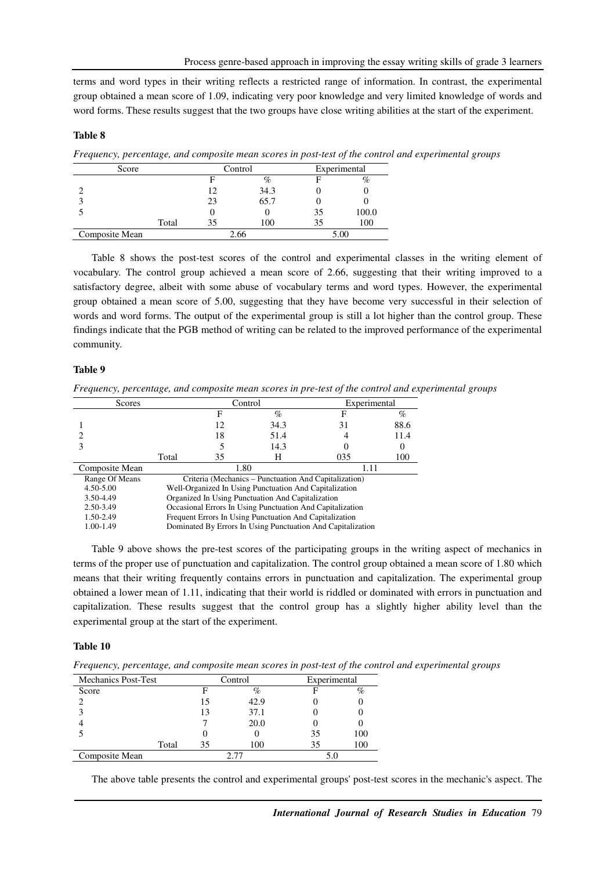terms and word types in their writing reflects a restricted range of information. In contrast, the experimental group obtained a mean score of 1.09, indicating very poor knowledge and very limited knowledge of words and word forms. These results suggest that the two groups have close writing abilities at the start of the experiment.

### **Table 8**

*Frequency, percentage, and composite mean scores in post-test of the control and experimental groups* 

| Score          |       | Control |      | Experimental |       |
|----------------|-------|---------|------|--------------|-------|
|                |       |         | %    |              | $\%$  |
|                |       | 12      | 34.3 |              |       |
|                |       | 23      | 65.7 |              |       |
|                |       |         |      | 35           | 100.0 |
|                | Total | 35      | 100  | 35           | 100   |
| Composite Mean |       |         | 2.66 |              | 5.00  |

Table 8 shows the post-test scores of the control and experimental classes in the writing element of vocabulary. The control group achieved a mean score of 2.66, suggesting that their writing improved to a satisfactory degree, albeit with some abuse of vocabulary terms and word types. However, the experimental group obtained a mean score of 5.00, suggesting that they have become very successful in their selection of words and word forms. The output of the experimental group is still a lot higher than the control group. These findings indicate that the PGB method of writing can be related to the improved performance of the experimental community.

# **Table 9**

*Frequency, percentage, and composite mean scores in pre-test of the control and experimental groups* 

| Scores         | Control                                                   |    |                                                             | Experimental |      |  |
|----------------|-----------------------------------------------------------|----|-------------------------------------------------------------|--------------|------|--|
|                |                                                           | F  | $\%$                                                        | F            | $\%$ |  |
|                |                                                           | 12 | 34.3                                                        | 31           | 88.6 |  |
|                |                                                           | 18 | 51.4                                                        |              | 11.4 |  |
|                |                                                           |    | 14.3                                                        |              |      |  |
|                | Total                                                     | 35 | Н                                                           | 035          | 100  |  |
| Composite Mean | 1.80<br>1.11                                              |    |                                                             |              |      |  |
| Range Of Means |                                                           |    | Criteria (Mechanics – Punctuation And Capitalization)       |              |      |  |
| 4.50-5.00      |                                                           |    | Well-Organized In Using Punctuation And Capitalization      |              |      |  |
| 3.50-4.49      | Organized In Using Punctuation And Capitalization         |    |                                                             |              |      |  |
| 2.50-3.49      | Occasional Errors In Using Punctuation And Capitalization |    |                                                             |              |      |  |
| 1.50-2.49      | Frequent Errors In Using Punctuation And Capitalization   |    |                                                             |              |      |  |
| 1.00-1.49      |                                                           |    | Dominated By Errors In Using Punctuation And Capitalization |              |      |  |

Table 9 above shows the pre-test scores of the participating groups in the writing aspect of mechanics in terms of the proper use of punctuation and capitalization. The control group obtained a mean score of 1.80 which means that their writing frequently contains errors in punctuation and capitalization. The experimental group obtained a lower mean of 1.11, indicating that their world is riddled or dominated with errors in punctuation and capitalization. These results suggest that the control group has a slightly higher ability level than the experimental group at the start of the experiment.

### **Table 10**

*Frequency, percentage, and composite mean scores in post-test of the control and experimental groups* 

| <b>Mechanics Post-Test</b> |       |    | Control | Experimental |     |
|----------------------------|-------|----|---------|--------------|-----|
| Score                      |       | F  | %       |              | %   |
|                            |       | 15 | 42.9    |              |     |
|                            |       | 13 | 37.1    |              |     |
|                            |       |    | 20.0    |              |     |
|                            |       |    |         | 35           | 100 |
|                            | Total | 35 | 100     | 35           | 100 |
| Composite Mean             |       |    |         |              |     |

The above table presents the control and experimental groups' post-test scores in the mechanic's aspect. The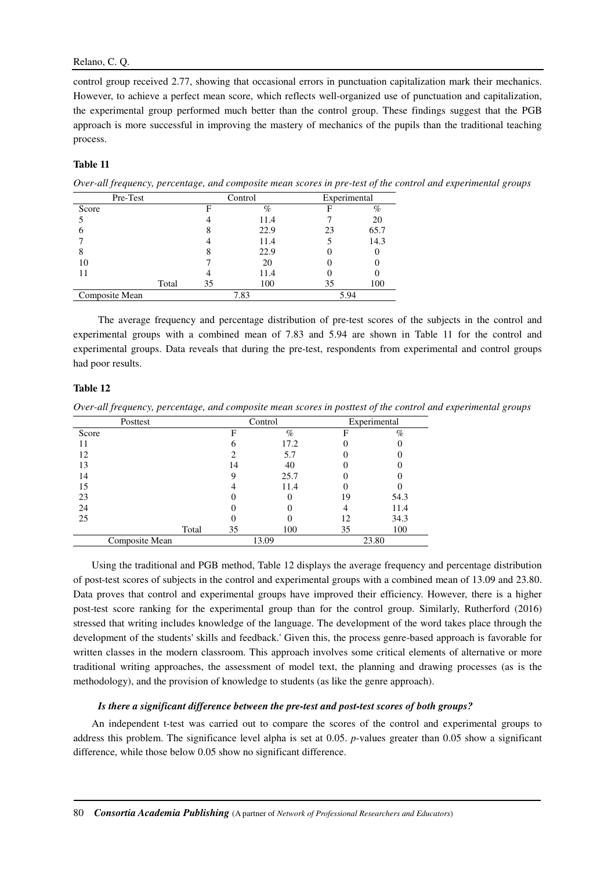# Relano, C. Q.

control group received 2.77, showing that occasional errors in punctuation capitalization mark their mechanics. However, to achieve a perfect mean score, which reflects well-organized use of punctuation and capitalization, the experimental group performed much better than the control group. These findings suggest that the PGB approach is more successful in improving the mastery of mechanics of the pupils than the traditional teaching process.

# **Table 11**

*Over-all frequency, percentage, and composite mean scores in pre-test of the control and experimental groups* 

| Pre-Test       |       | Control |      | Experimental |      |
|----------------|-------|---------|------|--------------|------|
| Score          |       | F       | %    |              | %    |
|                |       |         | 11.4 |              | 20   |
|                |       |         | 22.9 | 23           | 65.7 |
|                |       |         | 11.4 |              | 14.3 |
| 8              |       |         | 22.9 |              |      |
| 10             |       |         | 20   |              |      |
| 11             |       |         | 11.4 |              |      |
|                | Total | 35      | 100  | 35           | 100  |
| Composite Mean |       |         | 7.83 | 5.94         |      |

 The average frequency and percentage distribution of pre-test scores of the subjects in the control and experimental groups with a combined mean of 7.83 and 5.94 are shown in Table 11 for the control and experimental groups. Data reveals that during the pre-test, respondents from experimental and control groups had poor results.

# **Table 12**

*Over-all frequency, percentage, and composite mean scores in posttest of the control and experimental groups* 

| Posttest       |       | Control |       | Experimental |       |
|----------------|-------|---------|-------|--------------|-------|
| Score          |       | F       | $\%$  | F            | $\%$  |
|                |       | O       | 17.2  |              |       |
| 12             |       |         | 5.7   |              |       |
| 13             |       | 14      | 40    |              |       |
| 14             |       |         | 25.7  |              |       |
| 15             |       |         | 11.4  |              |       |
| 23             |       |         |       | 19           | 54.3  |
| 24             |       |         |       |              | 11.4  |
| 25             |       |         |       | 12           | 34.3  |
|                | Total | 35      | 100   | 35           | 100   |
| Composite Mean |       |         | 13.09 |              | 23.80 |

Using the traditional and PGB method, Table 12 displays the average frequency and percentage distribution of post-test scores of subjects in the control and experimental groups with a combined mean of 13.09 and 23.80. Data proves that control and experimental groups have improved their efficiency. However, there is a higher post-test score ranking for the experimental group than for the control group. Similarly, Rutherford (2016) stressed that writing includes knowledge of the language. The development of the word takes place through the development of the students' skills and feedback.' Given this, the process genre-based approach is favorable for written classes in the modern classroom. This approach involves some critical elements of alternative or more traditional writing approaches, the assessment of model text, the planning and drawing processes (as is the methodology), and the provision of knowledge to students (as like the genre approach).

# *Is there a significant difference between the pre-test and post-test scores of both groups?*

An independent t-test was carried out to compare the scores of the control and experimental groups to address this problem. The significance level alpha is set at 0.05. *p*-values greater than 0.05 show a significant difference, while those below 0.05 show no significant difference.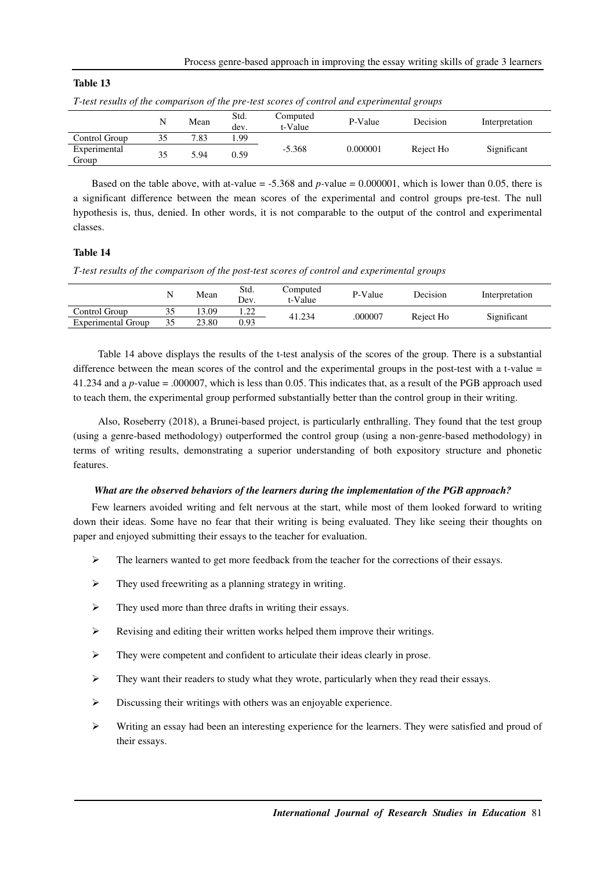| Table |  |
|-------|--|
|-------|--|

|                       | N  | Mean | Std.<br>dev. | Computed<br>t-Value | P-Value  | Decision  | Interpretation |
|-----------------------|----|------|--------------|---------------------|----------|-----------|----------------|
| Control Group         | 35 | 7.83 | .99          |                     |          |           |                |
| Experimental<br>Group | 35 | 5.94 | 0.59         | $-5.368$            | 0.000001 | Reject Ho | Significant    |

*T-test results of the comparison of the pre-test scores of control and experimental groups* 

Based on the table above, with at-value = -5.368 and *p-*value = 0.000001, which is lower than 0.05, there is a significant difference between the mean scores of the experimental and control groups pre-test. The null hypothesis is, thus, denied. In other words, it is not comparable to the output of the control and experimental classes.

# **Table 14**

*T-test results of the comparison of the post-test scores of control and experimental groups* 

|                           |    | Mean  | Std.<br>Dev. | Computed<br>t-Value | P-Value | Decision  | Interpretation |
|---------------------------|----|-------|--------------|---------------------|---------|-----------|----------------|
| Control Group             | 35 | 13.09 | 1.22         | 41.234              | .000007 | Reject Ho | Significant    |
| <b>Experimental Group</b> |    | 23.80 | 0.93         |                     |         |           |                |

 Table 14 above displays the results of the t-test analysis of the scores of the group. There is a substantial difference between the mean scores of the control and the experimental groups in the post-test with a t-value = 41.234 and a *p*-value = .000007, which is less than 0.05. This indicates that, as a result of the PGB approach used to teach them, the experimental group performed substantially better than the control group in their writing.

 Also, Roseberry (2018), a Brunei-based project, is particularly enthralling. They found that the test group (using a genre-based methodology) outperformed the control group (using a non-genre-based methodology) in terms of writing results, demonstrating a superior understanding of both expository structure and phonetic features.

# *What are the observed behaviors of the learners during the implementation of the PGB approach?*

Few learners avoided writing and felt nervous at the start, while most of them looked forward to writing down their ideas. Some have no fear that their writing is being evaluated. They like seeing their thoughts on paper and enjoyed submitting their essays to the teacher for evaluation.

- $\triangleright$  The learners wanted to get more feedback from the teacher for the corrections of their essays.
- $\triangleright$  They used freewriting as a planning strategy in writing.
- $\triangleright$  They used more than three drafts in writing their essays.
- Revising and editing their written works helped them improve their writings.
- They were competent and confident to articulate their ideas clearly in prose.
- $\triangleright$  They want their readers to study what they wrote, particularly when they read their essays.
- Discussing their writings with others was an enjoyable experience.
- $\triangleright$  Writing an essay had been an interesting experience for the learners. They were satisfied and proud of their essays.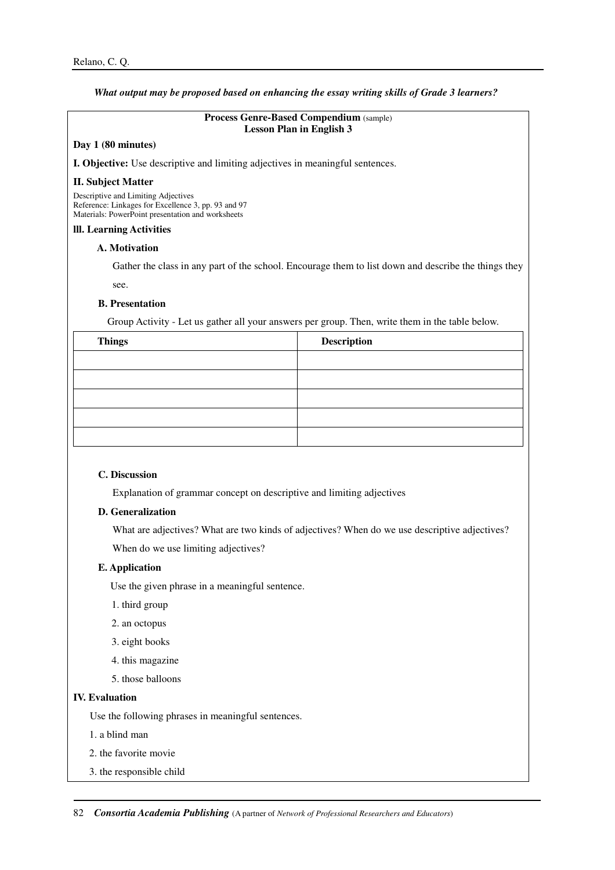# *What output may be proposed based on enhancing the essay writing skills of Grade 3 learners?*

# **Process Genre-Based Compendium** (sample) **Lesson Plan in English 3**

### **Day 1 (80 minutes)**

**I. Objective:** Use descriptive and limiting adjectives in meaningful sentences.

### **II. Subject Matter**

Descriptive and Limiting Adjectives Reference: Linkages for Excellence 3, pp. 93 and 97 Materials: PowerPoint presentation and worksheets

# **lll. Learning Activities**

### **A. Motivation**

Gather the class in any part of the school. Encourage them to list down and describe the things they see.

### **B. Presentation**

Group Activity - Let us gather all your answers per group. Then, write them in the table below.

| <b>Things</b> | Description |
|---------------|-------------|
|               |             |
|               |             |
|               |             |
|               |             |
|               |             |

# **C. Discussion**

Explanation of grammar concept on descriptive and limiting adjectives

# **D. Generalization**

What are adjectives? What are two kinds of adjectives? When do we use descriptive adjectives?

When do we use limiting adjectives?

# **E. Application**

Use the given phrase in a meaningful sentence.

- 1. third group
- 2. an octopus
- 3. eight books
- 4. this magazine
- 5. those balloons

# **IV. Evaluation**

Use the following phrases in meaningful sentences.

1. a blind man

- 2. the favorite movie
- 3. the responsible child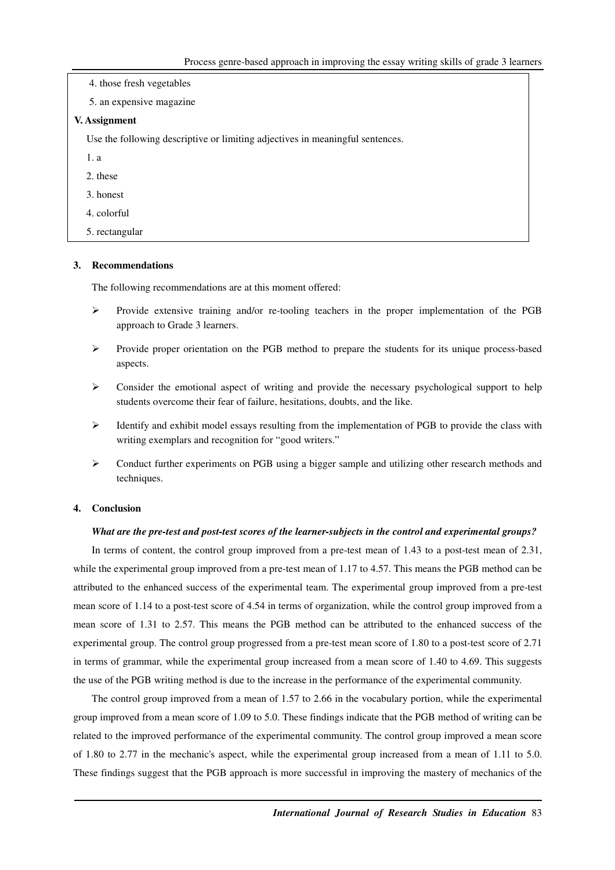| 4. those fresh vegetables                                                     |
|-------------------------------------------------------------------------------|
| 5. an expensive magazine                                                      |
| V. Assignment                                                                 |
| Use the following descriptive or limiting adjectives in meaningful sentences. |
| 1. a                                                                          |
| 2. these                                                                      |
| 3. honest                                                                     |
| 4. colorful                                                                   |
| 5. rectangular                                                                |

# **3. Recommendations**

The following recommendations are at this moment offered:

- Provide extensive training and/or re-tooling teachers in the proper implementation of the PGB approach to Grade 3 learners.
- $\triangleright$  Provide proper orientation on the PGB method to prepare the students for its unique process-based aspects.
- $\triangleright$  Consider the emotional aspect of writing and provide the necessary psychological support to help students overcome their fear of failure, hesitations, doubts, and the like.
- $\triangleright$  Identify and exhibit model essays resulting from the implementation of PGB to provide the class with writing exemplars and recognition for "good writers."
- $\triangleright$  Conduct further experiments on PGB using a bigger sample and utilizing other research methods and techniques.

### **4. Conclusion**

### *What are the pre-test and post-test scores of the learner-subjects in the control and experimental groups?*

In terms of content, the control group improved from a pre-test mean of 1.43 to a post-test mean of 2.31, while the experimental group improved from a pre-test mean of 1.17 to 4.57. This means the PGB method can be attributed to the enhanced success of the experimental team. The experimental group improved from a pre-test mean score of 1.14 to a post-test score of 4.54 in terms of organization, while the control group improved from a mean score of 1.31 to 2.57. This means the PGB method can be attributed to the enhanced success of the experimental group. The control group progressed from a pre-test mean score of 1.80 to a post-test score of 2.71 in terms of grammar, while the experimental group increased from a mean score of 1.40 to 4.69. This suggests the use of the PGB writing method is due to the increase in the performance of the experimental community.

The control group improved from a mean of 1.57 to 2.66 in the vocabulary portion, while the experimental group improved from a mean score of 1.09 to 5.0. These findings indicate that the PGB method of writing can be related to the improved performance of the experimental community. The control group improved a mean score of 1.80 to 2.77 in the mechanic's aspect, while the experimental group increased from a mean of 1.11 to 5.0. These findings suggest that the PGB approach is more successful in improving the mastery of mechanics of the